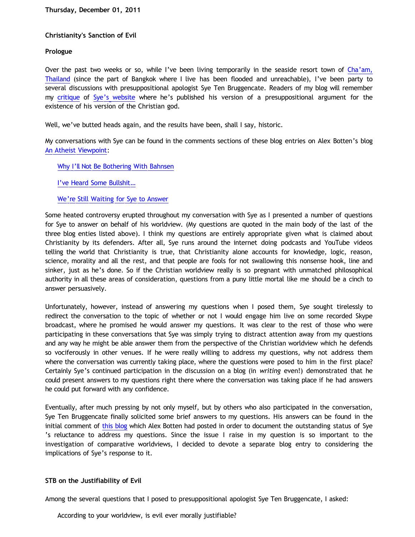## **Christianity's Sanction of Evil**

### **Prologue**

Over the past two weeks or so, while I've been living temporarily in the seaside resort town of [Cha'am,](http://en.wikipedia.org/wiki/Cha-Am_District) [Thailand](http://en.wikipedia.org/wiki/Cha-Am_District) (since the part of Bangkok where I live has been flooded and unreachable), I've been party to several discussions with presuppositional apologist Sye Ten Bruggencate. Readers of my blog will remember my [critique](http://bahnsenburner.blogspot.com/2010/08/critique-of-sye-ten-bruggencates.html) of [Sye's website](http://www.proofthatgodexists.org/) where he's published his version of a presuppositional argument for the existence of his version of the Christian god.

Well, we've butted heads again, and the results have been, shall I say, historic.

My conversations with Sye can be found in the comments sections of these blog entries on Alex Botten's blog [An Atheist Viewpoint](http://anatheistviewpoint.blogspot.com/):

[Why I'll Not Be Bothering With Bahnsen](http://anatheistviewpoint.blogspot.com/2011/11/why-ill-not-be-bothering-with-bahnsen.html)

[I've Heard Some Bullshit…](http://anatheistviewpoint.blogspot.com/2011/11/ive-heard-some-bullshit.html)

### [We're Still Waiting for Sye to Answer](http://anatheistviewpoint.blogspot.com/2011/11/were-still-waiting-for-sye-to-answer.html)

Some heated controversy erupted throughout my conversation with Sye as I presented a number of questions for Sye to answer on behalf of his worldview. (My questions are quoted in the main body of the last of the three blog enties listed above). I think my questions are entirely appropriate given what is claimed about Christianity by its defenders. After all, Sye runs around the internet doing podcasts and YouTube videos telling the world that Christianity is true, that Christianity alone accounts for knowledge, logic, reason, science, morality and all the rest, and that people are fools for not swallowing this nonsense hook, line and sinker, just as he's done. So if the Christian worldview really is so pregnant with unmatched philosophical authority in all these areas of consideration, questions from a puny little mortal like me should be a cinch to answer persuasively.

Unfortunately, however, instead of answering my questions when I posed them, Sye sought tirelessly to redirect the conversation to the topic of whether or not I would engage him live on some recorded Skype broadcast, where he promised he would answer my questions. It was clear to the rest of those who were participating in these conversations that Sye was simply trying to distract attention away from my questions and any way he might be able answer them from the perspective of the Christian worldview which he defends so vociferously in other venues. If he were really willing to address my questions, why not address them where the conversation was currently taking place, where the questions were posed to him in the first place? Certainly Sye's continued participation in the discussion on a blog (in *writing* even!) demonstrated that he could present answers to my questions right there where the conversation was taking place if he had answers he could put forward with any confidence.

Eventually, after much pressing by not only myself, but by others who also participated in the conversation, Sye Ten Bruggencate finally solicited some brief answers to my questions. His answers can be found in the initial comment of [this blog](http://anatheistviewpoint.blogspot.com/2011/11/were-still-waiting-for-sye-to-answer.html) which Alex Botten had posted in order to document the outstanding status of Sye 's reluctance to address my questions. Since the issue I raise in my question is so important to the investigation of comparative worldviews, I decided to devote a separate blog entry to considering the implications of Sye's response to it.

### **STB on the Justifiability of Evil**

Among the several questions that I posed to presuppositional apologist Sye Ten Bruggencate, I asked:

According to your worldview, is evil ever morally justifiable?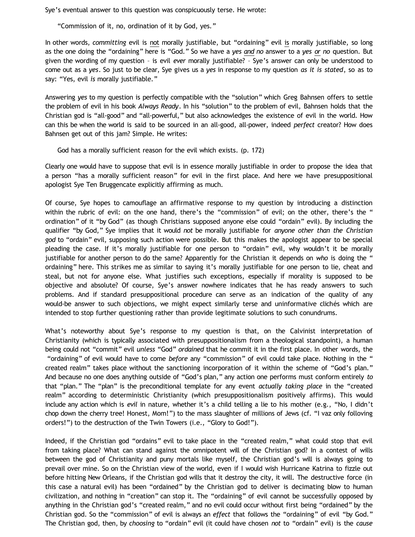Sye's eventual answer to this question was conspicuously terse. He wrote:

"Commission of it, no, ordination of it by God, yes."

In other words, *committing* evil is not morally justifiable, but "ordaining" evil is morally justifiable, so long as the one doing the "ordaining" here is "God." So we have a *yes and no* answer to a *yes or no* question. But given the wording of my question – is evil *ever* morally justifiable? – Sye's answer can only be understood to come out as a *yes*. So just to be clear, Sye gives us a *yes* in response to my question *as it is stated*, so as to say: "Yes, evil *is* morally justifiable."

Answering *yes* to my question is perfectly compatible with the "solution" which Greg Bahnsen offers to settle the problem of evil in his book *Always Ready*. In his "solution" to the problem of evil, Bahnsen holds that the Christian god is "all-good" and "all-powerful," but also acknowledges the existence of evil in the world. How can this be when the world is said to be sourced in an all-good, all-power, indeed *perfect* creator? How does Bahnsen get out of this jam? Simple. He writes:

God has a morally sufficient reason for the evil which exists. (p. 172)

Clearly one would have to suppose that evil is in essence morally justifiable in order to propose the idea that a person "has a morally sufficient reason" for evil in the first place. And here we have presuppositional apologist Sye Ten Bruggencate explicitly affirming as much.

Of course, Sye hopes to camouflage an affirmative response to my question by introducing a distinction within the rubric of evil: on the one hand, there's the "commission" of evil; on the other, there's the " ordination" of it "by God" (as though Christians supposed anyone else could "ordain" evil). By including the qualifier "by God," Sye implies that it would *not* be morally justifiable for *anyone other than the Christian god* to "ordain" evil, supposing such action were possible. But this makes the apologist appear to be special pleading the case. If it's morally justifiable for one person to "ordain" evil, why wouldn't it be morally justifiable for another person to do the same? Apparently for the Christian it depends on *who* is doing the " ordaining" here. This strikes me as similar to saying it's morally justifiable for one person to lie, cheat and steal, but not for anyone else. What justifies such exceptions, especially if morality is supposed to be objective and absolute? Of course, Sye's answer nowhere indicates that he has ready answers to such problems. And if standard presuppositional procedure can serve as an indication of the quality of any would-be answer to such objections, we might expect similarly terse and uninformative clichés which are intended to stop further questioning rather than provide legitimate solutions to such conundrums.

What's noteworthy about Sye's response to my question is that, on the Calvinist interpretation of Christianity (which is typically associated with presuppositionalism from a theological standpoint), a human being could not "commit" evil *unless* "God" *ordained* that he commit it in the first place. In other words, the "ordaining" of evil would have to come *before* any "commission" of evil could take place. Nothing in the " created realm" takes place without the sanctioning incorporation of it within the scheme of "God's plan." And because no one does anything outside of "God's plan," any action one performs must conform entirely *to* that "plan." The "plan" is the preconditional template for any event *actually taking place* in the "created realm" according to deterministic Christianity (which presuppositionalism positively affirms). This would include any action which is *evil* in nature, whether it's a child telling a lie to his mother (e.g., "No, I didn't chop down the cherry tree! Honest, Mom!") to the mass slaughter of millions of Jews (cf. "I vaz only folloving orders!") to the destruction of the Twin Towers (i.e., "Glory to God!").

Indeed, if the Christian god "ordains" evil to take place in the "created realm," what could stop that evil from taking place? What can stand against the omnipotent will of the Christian god? In a contest of wills between the god of Christianity and puny mortals like myself, the Christian god's will is always going to prevail over mine. So on the Christian view of the world, even if I would wish Hurricane Katrina to fizzle out before hitting New Orleans, if the Christian god wills that it destroy the city, it will. The destructive force (in this case a natural evil) has been "ordained" by the Christian god to deliver is decimating blow to human civilization, and nothing in "creation" can stop it. The "ordaining" of evil cannot be successfully opposed by anything in the Christian god's "created realm," and no evil could occur without first being "ordained" by the Christian god. So the "commission" of evil is always an *effect* that follows the "ordaining" of evil "by God." The Christian god, then, by *choosing* to "ordain" evil (it could have chosen *not* to "ordain" evil) is the *cause*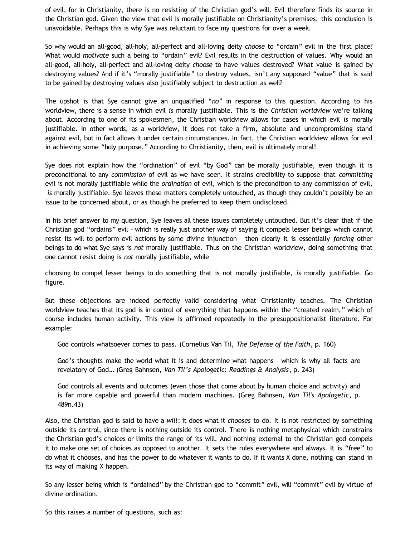of evil, for in Christianity, there is no resisting of the Christian god's will. Evil therefore finds its source in the Christian god. Given the view that evil is morally justifiable on Christianity's premises, this conclusion is unavoidable. Perhaps this is why Sye was reluctant to face my questions for over a week.

So why would an all-good, all-holy, all-perfect and all-loving deity *choose* to "ordain" evil in the first place? What would *motivate* such a being to "ordain" evil? Evil results in the destruction of values. Why would an all-good, all-holy, all-perfect and all-loving deity *choose* to have values destroyed? What value is gained by destroying values? And if it's "morally justifiable" to destroy values, isn't any supposed "value" that is said to be gained by destroying values also justifiably subject to destruction as well?

The upshot is that Sye cannot give an unqualified "*no*" in response to this question. According to his worldview, there is a sense in which evil *is* morally justifiable. This is the *Christian worldview* we're talking about. According to one of its spokesmen, the Christian worldview allows for cases in which evil *is* morally justifiable. In other words, as a worldview, it does not take a firm, absolute and uncompromising stand against evil, but in fact allows it under certain circumstances. In fact, the Christian worldview allows for evil in achieving some "holy purpose." According to Christianity, then, evil is ultimately moral!

Sye does not explain how the "ordination" of evil "by God" can be morally justifiable, even though it is preconditional to any *commission* of evil as we have seen. It strains credibility to suppose that *committing* evil is not morally justifiable while the *ordination* of evil, which is the precondition to any commission of evil, *is* morally justifiable. Sye leaves these matters completely untouched, as though they couldn't possibly be an issue to be concerned about, or as though he preferred to keep them undisclosed.

In his brief answer to my question, Sye leaves all these issues completely untouched. But it's clear that if the Christian god "ordains" evil – which is really just another way of saying it compels lesser beings which cannot resist its will to perform evil actions by some divine injunction – then clearly it is essentially *forcing* other beings to do what Sye says is *not* morally justifiable. Thus on the Christian worldview, doing something that one cannot resist doing is *not* morally justifiable, while

choosing to compel lesser beings to do something that is not morally justifiable, *is* morally justifiable. Go figure.

But these objections are indeed perfectly valid considering what Christianity teaches. The Christian worldview teaches that its god is in control of everything that happens within the "created realm," which of course includes human activity. This view is affirmed repeatedly in the presuppositionalist literature. For example:

God controls whatsoever comes to pass. (Cornelius Van Til, *The Defense of the Faith*, p. 160)

God's thoughts make the world what it is and determine what happens – which is why all facts are revelatory of God… (Greg Bahnsen, *Van Til's Apologetic: Readings & Analysis*, p. 243)

God controls all events and outcomes (even those that come about by human choice and activity) and is far more capable and powerful than modern machines. (Greg Bahnsen, *Van Til's Apologetic*, p. 489n.43)

Also, the Christian god is said to have a *will*: it does what it *chooses* to do. It is not restricted by something outside its control, since there is nothing outside its control. There is nothing metaphysical which constrains the Christian god's choices or limits the range of its will. And nothing external to the Christian god compels it to make one set of choices as opposed to another. It sets the rules everywhere and always. It is "free" to do what it chooses, and has the power to do whatever it wants to do. If it wants X done, nothing can stand in its way of making X happen.

So any lesser being which is "ordained" by the Christian god to "commit" evil, will "commit" evil by virtue of divine ordination.

So this raises a number of questions, such as: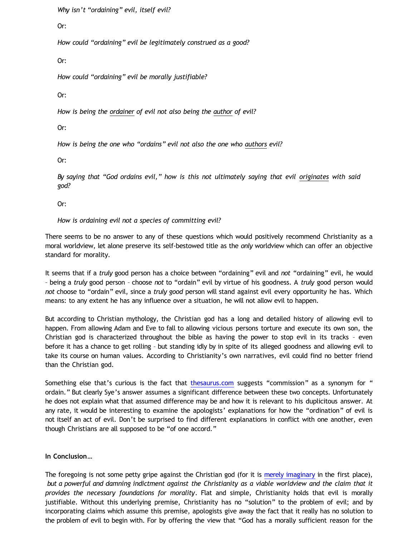*Why isn't "ordaining" evil, itself evil?*

Or:

*How could "ordaining" evil be legitimately construed as a good?*

Or:

*How could "ordaining" evil be morally justifiable?*

Or:

*How is being the ordainer of evil not also being the author of evil?*

Or:

*How is being the one who "ordains" evil not also the one who authors evil?*

Or:

*By saying that "God ordains evil," how is this not ultimately saying that evil originates with said god?*

Or:

*How is ordaining evil not a species of committing evil?*

There seems to be no answer to any of these questions which would positively recommend Christianity as a moral worldview, let alone preserve its self-bestowed title as the *only* worldview which can offer an objective standard for morality.

It seems that if a *truly* good person has a choice between "ordaining" evil and *not* "ordaining" evil, he would – being a *truly* good person – choose *not* to "ordain" evil by virtue of his goodness. A *truly* good person would *not* choose to "ordain" evil, since a *truly good* person will stand against evil every opportunity he has. Which means: to any extent he has any influence over a situation, he will not allow evil to happen.

But according to Christian mythology, the Christian god has a long and detailed history of allowing evil to happen. From allowing Adam and Eve to fall to allowing vicious persons torture and execute its own son, the Christian god is characterized throughout the bible as having the power to stop evil in its tracks – even before it has a chance to get rolling – but standing idly by in spite of its alleged goodness and allowing evil to take its course on human values. According to Christianity's own narratives, evil could find no better friend than the Christian god.

Something else that's curious is the fact that [thesaurus.com](http://thesaurus.com/browse/ordain) suggests "commission" as a synonym for " ordain." But clearly Sye's answer assumes a significant difference between these two concepts. Unfortunately he does not explain what that assumed difference may be and how it is relevant to his duplicitous answer. At any rate, it would be interesting to examine the apologists' explanations for how the "ordination" of evil is not itself an act of evil. Don't be surprised to find different explanations in conflict with one another, even though Christians are all supposed to be "of one accord."

# **In Conclusion…**

The foregoing is not some petty gripe against the Christian god (for it is [merely imaginary](http://bahnsenburner.blogspot.com/2010/05/imaginative-nature-of-christian-theism.html) in the first place), *but a powerful and damning indictment against the Christianity as a viable worldview and the claim that it provides the necessary foundations for morality*. Flat and simple, Christianity holds that evil is morally justifiable. Without this underlying premise, Christianity has no "solution" to the problem of evil; and by incorporating claims which assume this premise, apologists give away the fact that it really has no solution to the problem of evil to begin with. For by offering the view that "God has a morally sufficient reason for the